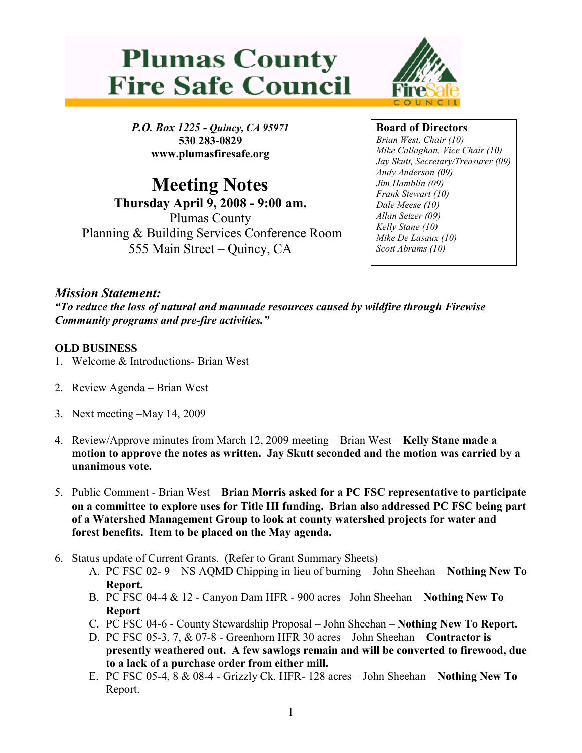



P.O. Box 1225 - Quincy, CA 95971 530 283-0829 www.plumasfiresafe.org

Meeting Notes Thursday April 9, 2008 - 9:00 am. Plumas County Planning & Building Services Conference Room 555 Main Street – Quincy, CA

## Board of Directors

Brian West, Chair (10) Mike Callaghan, Vice Chair (10) Jay Skutt, Secretary/Treasurer (09) Andy Anderson (09) Jim Hamblin (09) Frank Stewart (10) Dale Meese (10) Allan Setzer (09) Kelly Stane (10) Mike De Lasaux (10) Scott Abrams (10)

## Mission Statement:

"To reduce the loss of natural and manmade resources caused by wildfire through Firewise Community programs and pre-fire activities."

## OLD BUSINESS

- 1. Welcome & Introductions- Brian West
- 2. Review Agenda Brian West
- 3. Next meeting –May 14, 2009
- 4. Review/Approve minutes from March 12, 2009 meeting Brian West Kelly Stane made a motion to approve the notes as written. Jay Skutt seconded and the motion was carried by a unanimous vote.
- 5. Public Comment Brian West Brian Morris asked for a PC FSC representative to participate on a committee to explore uses for Title III funding. Brian also addressed PC FSC being part of a Watershed Management Group to look at county watershed projects for water and forest benefits. Item to be placed on the May agenda.
- 6. Status update of Current Grants. (Refer to Grant Summary Sheets)
	- A. PC FSC 02- 9 NS AQMD Chipping in lieu of burning John Sheehan Nothing New To Report.
	- B. PC FSC 04-4 & 12 Canyon Dam HFR 900 acres– John Sheehan Nothing New To Report
	- C. PC FSC 04-6 County Stewardship Proposal John Sheehan Nothing New To Report.
	- D. PC FSC 05-3, 7, & 07-8 Greenhorn HFR 30 acres John Sheehan Contractor is presently weathered out. A few sawlogs remain and will be converted to firewood, due to a lack of a purchase order from either mill.
	- E. PC FSC 05-4, 8 & 08-4 Grizzly Ck. HFR- 128 acres John Sheehan Nothing New To Report.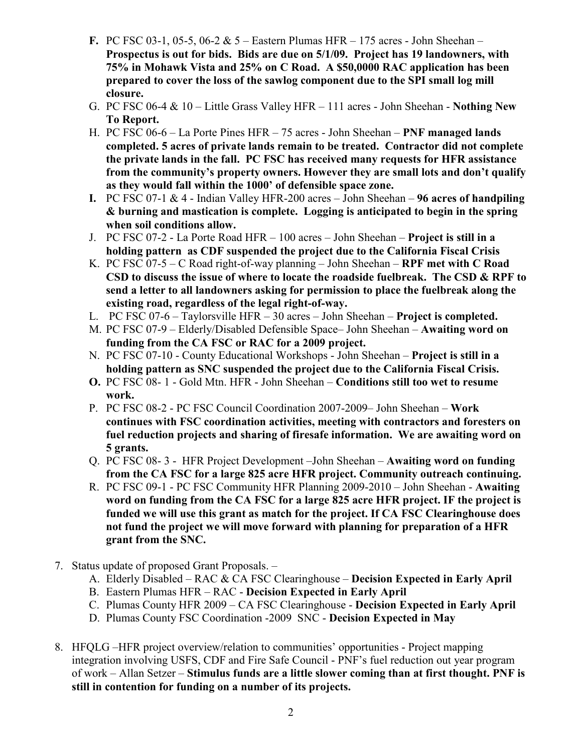- F. PC FSC 03-1, 05-5, 06-2 & 5 Eastern Plumas HFR 175 acres John Sheehan Prospectus is out for bids. Bids are due on 5/1/09. Project has 19 landowners, with 75% in Mohawk Vista and 25% on C Road. A \$50,0000 RAC application has been prepared to cover the loss of the sawlog component due to the SPI small log mill closure.
- G. PC FSC 06-4  $& 10 -$  Little Grass Valley HFR 111 acres John Sheehan Nothing New To Report.
- H. PC FSC 06-6 La Porte Pines HFR 75 acres John Sheehan PNF managed lands completed. 5 acres of private lands remain to be treated. Contractor did not complete the private lands in the fall. PC FSC has received many requests for HFR assistance from the community's property owners. However they are small lots and don't qualify as they would fall within the 1000' of defensible space zone.
- I. PC FSC 07-1  $&$  4 Indian Valley HFR-200 acres John Sheehan 96 acres of handpiling & burning and mastication is complete. Logging is anticipated to begin in the spring when soil conditions allow.
- J. PC FSC 07-2 La Porte Road HFR 100 acres John Sheehan Project is still in a holding pattern as CDF suspended the project due to the California Fiscal Crisis
- K. PC FSC 07-5 C Road right-of-way planning John Sheehan RPF met with C Road CSD to discuss the issue of where to locate the roadside fuelbreak. The CSD & RPF to send a letter to all landowners asking for permission to place the fuelbreak along the existing road, regardless of the legal right-of-way.
- L. PC FSC 07-6 Taylorsville HFR 30 acres John Sheehan Project is completed.
- M. PC FSC 07-9 Elderly/Disabled Defensible Space– John Sheehan Awaiting word on funding from the CA FSC or RAC for a 2009 project.
- N. PC FSC 07-10 County Educational Workshops John Sheehan Project is still in a holding pattern as SNC suspended the project due to the California Fiscal Crisis.
- O. PC FSC 08- 1 Gold Mtn. HFR John Sheehan Conditions still too wet to resume work.
- P. PC FSC 08-2 PC FSC Council Coordination 2007-2009– John Sheehan Work continues with FSC coordination activities, meeting with contractors and foresters on fuel reduction projects and sharing of firesafe information. We are awaiting word on 5 grants.
- Q. PC FSC 08- 3 HFR Project Development –John Sheehan Awaiting word on funding from the CA FSC for a large 825 acre HFR project. Community outreach continuing.
- R. PC FSC 09-1 PC FSC Community HFR Planning 2009-2010 John Sheehan Awaiting word on funding from the CA FSC for a large 825 acre HFR project. IF the project is funded we will use this grant as match for the project. If CA FSC Clearinghouse does not fund the project we will move forward with planning for preparation of a HFR grant from the SNC.
- 7. Status update of proposed Grant Proposals.
	- A. Elderly Disabled RAC & CA FSC Clearinghouse Decision Expected in Early April
	- B. Eastern Plumas HFR RAC Decision Expected in Early April
	- C. Plumas County HFR 2009 CA FSC Clearinghouse Decision Expected in Early April
	- D. Plumas County FSC Coordination -2009 SNC Decision Expected in May
- 8. HFQLG –HFR project overview/relation to communities' opportunities Project mapping integration involving USFS, CDF and Fire Safe Council - PNF's fuel reduction out year program of work – Allan Setzer – Stimulus funds are a little slower coming than at first thought. PNF is still in contention for funding on a number of its projects.